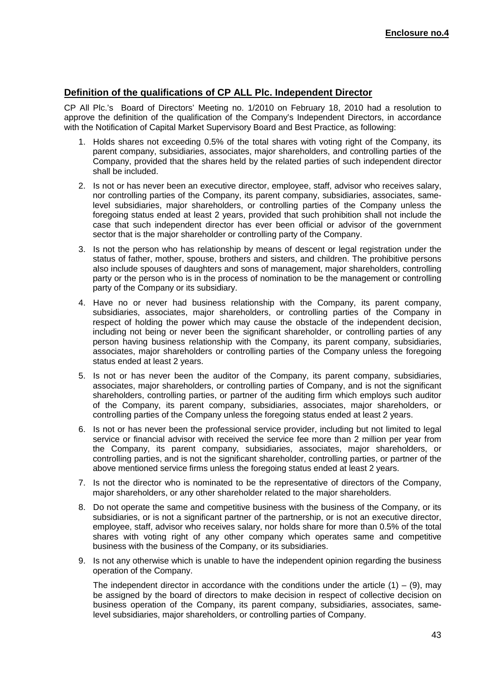## **Definition of the qualifications of CP ALL Plc. Independent Director**

CP All Plc.'s Board of Directors' Meeting no. 1/2010 on February 18, 2010 had a resolution to approve the definition of the qualification of the Company's Independent Directors, in accordance with the Notification of Capital Market Supervisory Board and Best Practice, as following:

- 1. Holds shares not exceeding 0.5% of the total shares with voting right of the Company, its parent company, subsidiaries, associates, major shareholders, and controlling parties of the Company, provided that the shares held by the related parties of such independent director shall be included.
- 2. Is not or has never been an executive director, employee, staff, advisor who receives salary, nor controlling parties of the Company, its parent company, subsidiaries, associates, samelevel subsidiaries, major shareholders, or controlling parties of the Company unless the foregoing status ended at least 2 years, provided that such prohibition shall not include the case that such independent director has ever been official or advisor of the government sector that is the major shareholder or controlling party of the Company.
- 3. Is not the person who has relationship by means of descent or legal registration under the status of father, mother, spouse, brothers and sisters, and children. The prohibitive persons also include spouses of daughters and sons of management, major shareholders, controlling party or the person who is in the process of nomination to be the management or controlling party of the Company or its subsidiary.
- 4. Have no or never had business relationship with the Company, its parent company, subsidiaries, associates, major shareholders, or controlling parties of the Company in respect of holding the power which may cause the obstacle of the independent decision, including not being or never been the significant shareholder, or controlling parties of any person having business relationship with the Company, its parent company, subsidiaries, associates, major shareholders or controlling parties of the Company unless the foregoing status ended at least 2 years.
- 5. Is not or has never been the auditor of the Company, its parent company, subsidiaries, associates, major shareholders, or controlling parties of Company, and is not the significant shareholders, controlling parties, or partner of the auditing firm which employs such auditor of the Company, its parent company, subsidiaries, associates, major shareholders, or controlling parties of the Company unless the foregoing status ended at least 2 years.
- 6. Is not or has never been the professional service provider, including but not limited to legal service or financial advisor with received the service fee more than 2 million per year from the Company, its parent company, subsidiaries, associates, major shareholders, or controlling parties, and is not the significant shareholder, controlling parties, or partner of the above mentioned service firms unless the foregoing status ended at least 2 years.
- 7. Is not the director who is nominated to be the representative of directors of the Company, major shareholders, or any other shareholder related to the major shareholders.
- 8. Do not operate the same and competitive business with the business of the Company, or its subsidiaries, or is not a significant partner of the partnership, or is not an executive director, employee, staff, advisor who receives salary, nor holds share for more than 0.5% of the total shares with voting right of any other company which operates same and competitive business with the business of the Company, or its subsidiaries.
- 9. Is not any otherwise which is unable to have the independent opinion regarding the business operation of the Company.

The independent director in accordance with the conditions under the article  $(1) - (9)$ , may be assigned by the board of directors to make decision in respect of collective decision on business operation of the Company, its parent company, subsidiaries, associates, samelevel subsidiaries, major shareholders, or controlling parties of Company.